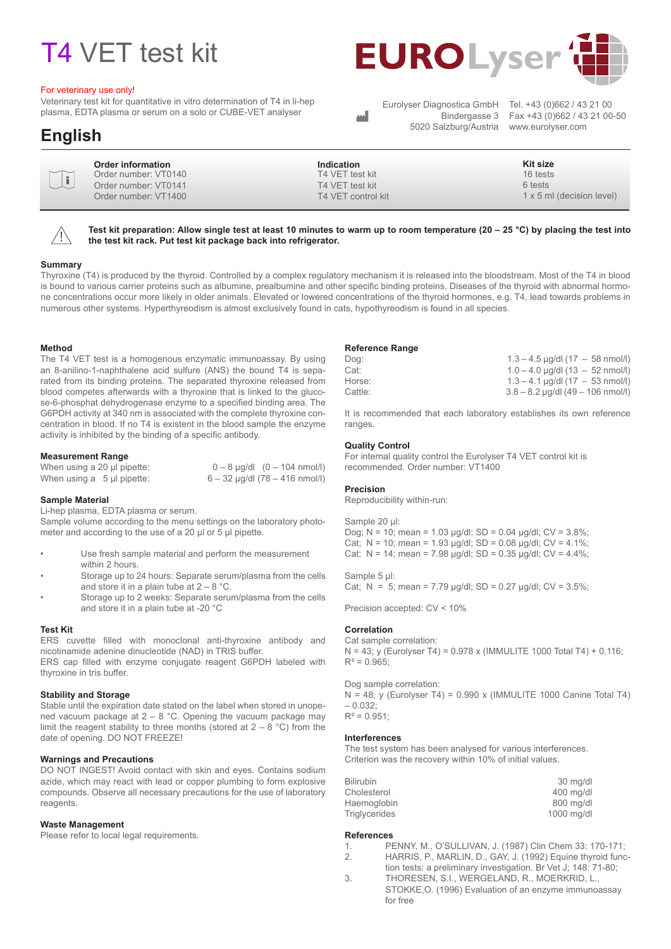# T4 VET test kit

For veterinary use only!

Veterinary test kit for quantitative in vitro determination of T4 in li-hep plasma, EDTA plasma or serum on a solo or CUBE-VET analyser

## **English**

| <b>EUROLyser</b> |  |
|------------------|--|
|                  |  |

Eurolyser Diagnostica GmbH Bindergasse 3 5020 Salzburg/Austria

Tel. +43 (0)662 / 43 21 00 Fax +43 (0)662 / 43 21 00-50 www.eurolyser.com

| 16 tests<br>Order number: VT0140<br>T4 VFT test kit<br>Order number: VT0141<br>T4 VFT test kit<br>6 tests<br>Order number: VT1400<br>T4 VET control kit |  | <b>Order information</b> | <b>Indication</b> | Kit size<br>$1 \times 5$ ml (decision level) |  |
|---------------------------------------------------------------------------------------------------------------------------------------------------------|--|--------------------------|-------------------|----------------------------------------------|--|
|---------------------------------------------------------------------------------------------------------------------------------------------------------|--|--------------------------|-------------------|----------------------------------------------|--|



**Test kit preparation: Allow single test at least 10 minutes to warm up to room temperature (20 – 25 °C) by placing the test into the test kit rack. Put test kit package back into refrigerator.**

المم

#### **Summary**

Thyroxine (T4) is produced by the thyroid. Controlled by a complex regulatory mechanism it is released into the bloodstream. Most of the T4 in blood is bound to various carrier proteins such as albumine, prealbumine and other specific binding proteins. Diseases of the thyroid with abnormal hormone concentrations occur more likely in older animals. Elevated or lowered concentrations of the thyroid hormones, e.g. T4, lead towards problems in numerous other systems. Hyperthyreodism is almost exclusively found in cats, hypothyreodism is found in all species.

#### **Method**

The T4 VET test is a homogenous enzymatic immunoassay. By using an 8-anilino-1-naphthalene acid sulfure (ANS) the bound T4 is separated from its binding proteins. The separated thyroxine released from blood competes afterwards with a thyroxine that is linked to the glucose-6-phosphat dehydrogenase enzyme to a specified binding area. The G6PDH activity at 340 nm is associated with the complete thyroxine concentration in blood. If no T4 is existent in the blood sample the enzyme activity is inhibited by the binding of a specific antibody.

#### **Measurement Range**

| When using a 20 µl pipette: | $0 - 8$ µg/dl $(0 - 104$ nmol/l)   |
|-----------------------------|------------------------------------|
| When using a 5 µl pipette:  | $6 - 32$ µg/dl (78 $- 416$ nmol/l) |

#### **Sample Material**

Li-hep plasma, EDTA plasma or serum.

Sample volume according to the menu settings on the laboratory photometer and according to the use of a 20 µl or 5 µl pipette.

- Use fresh sample material and perform the measurement within 2 hours.
- Storage up to 24 hours: Separate serum/plasma from the cells and store it in a plain tube at  $2 - 8$  °C.
- Storage up to 2 weeks: Separate serum/plasma from the cells and store it in a plain tube at -20 °C

#### **Test Kit**

ERS cuvette filled with monoclonal anti-thyroxine antibody and nicotinamide adenine dinucleotide (NAD) in TRIS buffer.

ERS cap filled with enzyme conjugate reagent G6PDH labeled with thyroxine in tris buffer.

#### **Stability and Storage**

Stable until the expiration date stated on the label when stored in unopened vacuum package at  $2 - 8$  °C. Opening the vacuum package may limit the reagent stability to three months (stored at  $2 - 8$  °C) from the date of opening. DO NOT FREEZE!

#### **Warnings and Precautions**

DO NOT INGEST! Avoid contact with skin and eyes. Contains sodium azide, which may react with lead or copper plumbing to form explosive compounds. Observe all necessary precautions for the use of laboratory reagents.

#### **Waste Management**

Please refer to local legal requirements.

#### **Reference Range**

| Dog:    | $1.3 - 4.5$ µg/dl (17 $-$ 58 nmol/l) |
|---------|--------------------------------------|
| Cat:    | $1.0 - 4.0$ µg/dl (13 $-52$ nmol/l)  |
| Horse:  | $1.3 - 4.1$ µg/dl (17 $-$ 53 nmol/l) |
| Cattle: | $3.8 - 8.2$ µg/dl (49 – 106 nmol/l)  |

It is recommended that each laboratory establishes its own reference ranges.

#### **Quality Control**

For internal quality control the Eurolyser T4 VET control kit is recommended. Order number: VT1400

#### **Precision**

Reproducibility within-run:

Sample 20 ul: Dog; N = 10; mean = 1.03 µg/dl; SD = 0.04 µg/dl; CV = 3.8%; Cat; N = 10; mean = 1.93 µg/dl; SD = 0.08 µg/dl; CV = 4.1%; Cat; N = 14; mean = 7.98  $\mu$ g/dl; SD = 0.35  $\mu$ g/dl; CV = 4.4%;

#### Sample 5 ul:

Cat;  $N = 5$ ; mean = 7.79 µg/dl; SD = 0.27 µg/dl; CV = 3.5%;

Precision accepted: CV < 10%

#### **Correlation**

Cat sample correlation: N = 43; y (Eurolyser T4) =  $0.978$  x (IMMULITE 1000 Total T4) +  $0.116$ ;  $R^2 = 0.965$ 

Dog sample correlation:  $N = 48$ ; y (Eurolyser T4) = 0.990 x (IMMULITE 1000 Canine Total T4) – 0.032;

 $R^2 = 0.951$ 

#### **Interferences**

The test system has been analysed for various interferences. Criterion was the recovery within 10% of initial values.

| <b>Bilirubin</b>     | 30 ma/dl     |
|----------------------|--------------|
| Cholesterol          | 400 mg/dl    |
| Haemoglobin          | 800 mg/dl    |
| <b>Triglycerides</b> | $1000$ mg/dl |

#### **References**

- 1. PENNY, M., O'SULLIVAN, J. (1987) Clin Chem 33: 170-171;
- 2. HARRIS, P., MARLIN, D., GAY, J. (1992) Equine thyroid function tests: a preliminary investigation. Br Vet J; 148: 71-80;
- 3. THORESEN, S.I., WERGELAND, R., MOERKRID, L., STOKKE,O. (1996) Evaluation of an enzyme immunoassay for free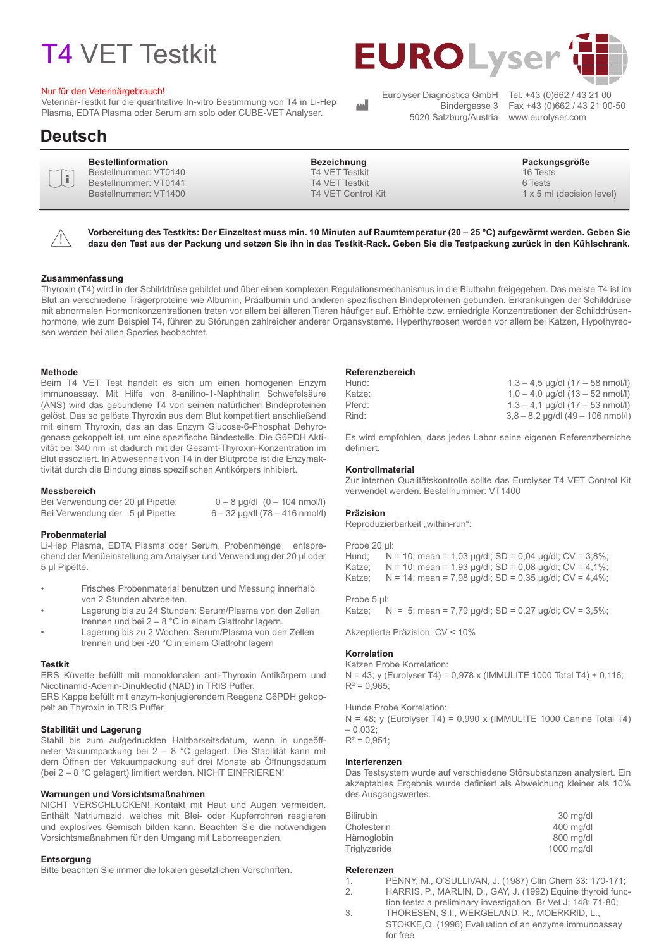# T4 VET Testkit

#### Nur für den Veterinärgebrauch!

Veterinär-Testkit für die quantitative In-vitro Bestimmung von T4 in Li-Hep Plasma, EDTA Plasma oder Serum am solo oder CUBE-VET Analyser.

Eurolyser Diagnostica GmbH Bindergasse 3 5020 Salzburg/Austria

**EUROLyser** 

Tel. +43 (0)662 / 43 21 00 Fax +43 (0)662 / 43 21 00-50 www.eurolyser.com

### **Deutsch**

| 1 x 5 ml (decision level) | $\textcircled{\textbf{I}}$ | <b>Bestellinformation</b> | <b>Bezeichnung</b> | Packungsgröße |
|---------------------------|----------------------------|---------------------------|--------------------|---------------|
| Bestellnummer: VT1400     |                            | Bestellnummer: VT0140     | T4 VET Testkit     | 16 Tests      |
| T4 VET Control Kit        |                            | Bestellnummer: VT0141     | T4 VET Testkit     | 6 Tests       |



**Vorbereitung des Testkits: Der Einzeltest muss min. 10 Minuten auf Raumtemperatur (20 – 25 °C) aufgewärmt werden. Geben Sie dazu den Test aus der Packung und setzen Sie ihn in das Testkit-Rack. Geben Sie die Testpackung zurück in den Kühlschrank.**

 $\Delta\Delta$ 

#### **Zusammenfassung**

Thyroxin (T4) wird in der Schilddrüse gebildet und über einen komplexen Regulationsmechanismus in die Blutbahn freigegeben. Das meiste T4 ist im Blut an verschiedene Trägerproteine wie Albumin, Präalbumin und anderen spezifischen Bindeproteinen gebunden. Erkrankungen der Schilddrüse mit abnormalen Hormonkonzentrationen treten vor allem bei älteren Tieren häufiger auf. Erhöhte bzw. erniedrigte Konzentrationen der Schilddrüsenhormone, wie zum Beispiel T4, führen zu Störungen zahlreicher anderer Organsysteme. Hyperthyreosen werden vor allem bei Katzen, Hypothyreosen werden bei allen Spezies beobachtet.

#### **Methode**

Beim T4 VET Test handelt es sich um einen homogenen Enzym Immunoassay. Mit Hilfe von 8-anilino-1-Naphthalin Schwefelsäure (ANS) wird das gebundene T4 von seinen natürlichen Bindeproteinen gelöst. Das so gelöste Thyroxin aus dem Blut kompetitiert anschließend mit einem Thyroxin, das an das Enzym Glucose-6-Phosphat Dehyrogenase gekoppelt ist, um eine spezifische Bindestelle. Die G6PDH Aktivität bei 340 nm ist dadurch mit der Gesamt-Thyroxin-Konzentration im Blut assoziiert. In Abwesenheit von T4 in der Blutprobe ist die Enzymaktivität durch die Bindung eines spezifischen Antikörpers inhibiert.

#### **Messbereich**

| Bei Verwendung der 20 µl Pipette: |  | $0 - 8$ µg/dl $(0 - 104$ nmol/l) |
|-----------------------------------|--|----------------------------------|
| Bei Verwendung der 5 µl Pipette:  |  | $6 - 32$ µg/dl (78 – 416 nmol/l) |

#### **Probenmaterial**

Li-Hep Plasma, EDTA Plasma oder Serum. Probenmenge entsprechend der Menüeinstellung am Analyser und Verwendung der 20 µl oder 5 µl Pipette.

- Frisches Probenmaterial benutzen und Messung innerhalb von 2 Stunden abarbeiten.
- Lagerung bis zu 24 Stunden: Serum/Plasma von den Zellen trennen und bei 2 – 8 °C in einem Glattrohr lagern.
- Lagerung bis zu 2 Wochen: Serum/Plasma von den Zellen trennen und bei -20 °C in einem Glattrohr lagern

#### **Testkit**

ERS Küvette befüllt mit monoklonalen anti-Thyroxin Antikörpern und Nicotinamid-Adenin-Dinukleotid (NAD) in TRIS Puffer.

ERS Kappe befüllt mit enzym-konjugierendem Reagenz G6PDH gekoppelt an Thyroxin in TRIS Puffer.

#### **Stabilität und Lagerung**

Stabil bis zum aufgedruckten Haltbarkeitsdatum, wenn in ungeöffneter Vakuumpackung bei 2 – 8 °C gelagert. Die Stabilität kann mit dem Öffnen der Vakuumpackung auf drei Monate ab Öffnungsdatum (bei 2 – 8 °C gelagert) limitiert werden. NICHT EINFRIEREN!

#### **Warnungen und Vorsichtsmaßnahmen**

NICHT VERSCHLUCKEN! Kontakt mit Haut und Augen vermeiden. Enthält Natriumazid, welches mit Blei- oder Kupferrohren reagieren und explosives Gemisch bilden kann. Beachten Sie die notwendigen Vorsichtsmaßnahmen für den Umgang mit Laborreagenzien.

#### **Entsorgung**

Bitte beachten Sie immer die lokalen gesetzlichen Vorschriften.

#### **Referenzbereich**

| Hund:  | $1,3 - 4,5$ µg/dl (17 - 58 nmol/l)  |
|--------|-------------------------------------|
| Katze: | $1,0 - 4,0$ µg/dl (13 - 52 nmol/l)  |
| Pferd: | $1,3 - 4,1$ µg/dl (17 - 53 nmol/l)  |
| Rind:  | $3,8 - 8,2$ µg/dl (49 - 106 nmol/l) |

Es wird empfohlen, dass jedes Labor seine eigenen Referenzbereiche definiert.

#### **Kontrollmaterial**

Zur internen Qualitätskontrolle sollte das Eurolyser T4 VET Control Kit verwendet werden. Bestellnummer: VT1400

#### **Präzision**

Reproduzierbarkeit "within-run":

Probe 20 µl:

Hund;  $N = 10$ ; mean = 1,03 µg/dl; SD = 0,04 µg/dl; CV = 3,8%; Katze;  $N = 10$ ; mean = 1,93 µg/dl; SD = 0,08 µg/dl; CV = 4,1%; Katze;  $N = 14$ ; mean = 7,98 µg/dl; SD = 0,35 µg/dl; CV = 4,4%;

#### Probe 5 µl:

Katze;  $N = 5$ ; mean = 7,79 µg/dl; SD = 0,27 µg/dl; CV = 3,5%;

Akzeptierte Präzision: CV < 10%

#### **Korrelation**

Katzen Probe Korrelation: N = 43; y (Eurolyser T4) = 0,978 x (IMMULITE 1000 Total T4) + 0,116;  $R^2 = 0.965$ ;

Hunde Probe Korrelation:

 $N = 48$ ; y (Eurolyser T4) = 0,990 x (IMMULITE 1000 Canine Total T4)  $-0.032$ ;

#### $R^2 = 0.951$ ;

#### **Interferenzen**

Das Testsystem wurde auf verschiedene Störsubstanzen analysiert. Ein akzeptables Ergebnis wurde definiert als Abweichung kleiner als 10% des Ausgangswertes.

| <b>Bilirubin</b> | 30 ma/dl     |
|------------------|--------------|
| Cholesterin      | $400$ ma/dl  |
| Hämoglobin       | 800 mg/dl    |
| Triglyzeride     | $1000$ ma/dl |

#### **Referenzen**

- 1. PENNY, M., O'SULLIVAN, J. (1987) Clin Chem 33: 170-171; 2. HARRIS, P., MARLIN, D., GAY, J. (1992) Equine thyroid func-
- tion tests: a preliminary investigation. Br Vet J; 148: 71-80; 3. THORESEN, S.I., WERGELAND, R., MOERKRID, L.,
- STOKKE,O. (1996) Evaluation of an enzyme immunoassay for free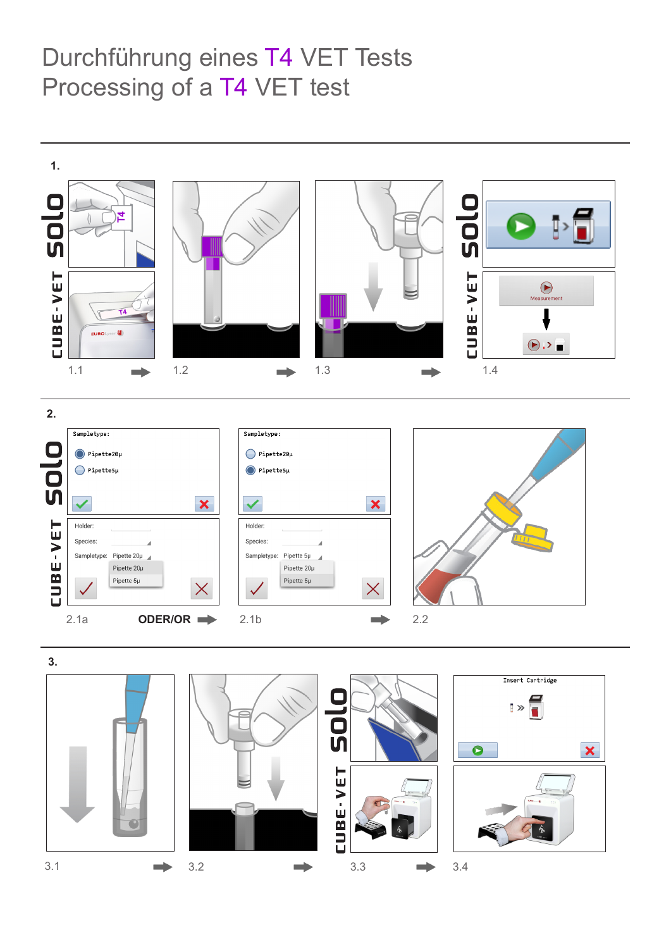## Durchführung eines T4 VET Tests Processing of a T4 VET test